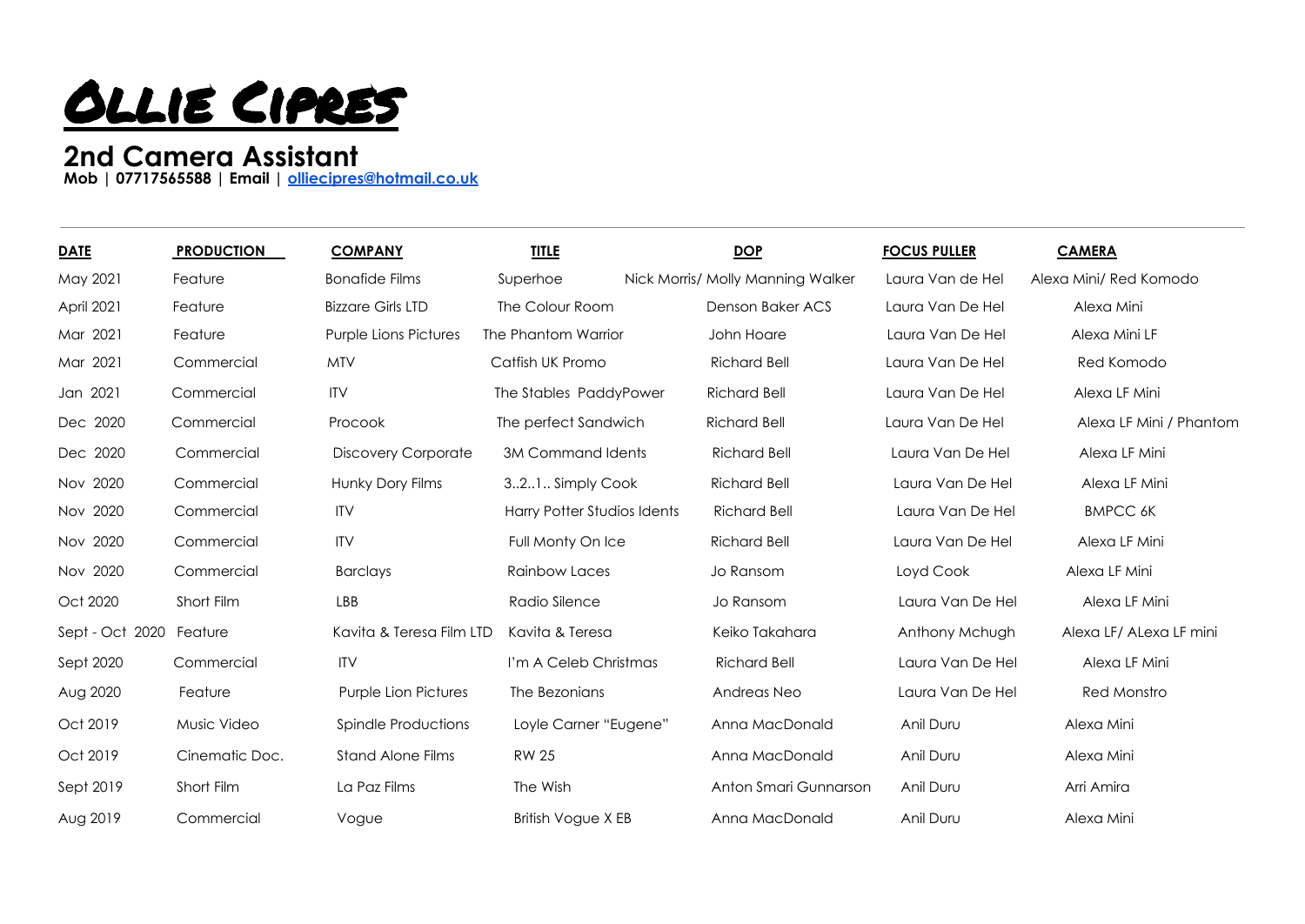

## **2nd Camera Assistant**

**Mob | 07717565588 | Email | [olliecipres@hotmail.co.uk](mailto:olliecipres@hotmail.co.uk)**

| <b>DATE</b>       | <b>PRODUCTION</b> | <b>COMPANY</b>               | <b>TITLE</b>                | <b>DOP</b>                        | <b>FOCUS PULLER</b> | <b>CAMERA</b>           |
|-------------------|-------------------|------------------------------|-----------------------------|-----------------------------------|---------------------|-------------------------|
| May 2021          | Feature           | <b>Bonafide Films</b>        | Superhoe                    | Nick Morris/ Molly Manning Walker | Laura Van de Hel    | Alexa Mini/ Red Komodo  |
| <b>April 2021</b> | Feature           | <b>Bizzare Girls LTD</b>     | The Colour Room             | Denson Baker ACS                  | Laura Van De Hel    | Alexa Mini              |
| Mar 2021          | Feature           | <b>Purple Lions Pictures</b> | The Phantom Warrior         | John Hoare                        | Laura Van De Hel    | Alexa Mini LF           |
| Mar 2021          | Commercial        | <b>MTV</b>                   | Catfish UK Promo            | <b>Richard Bell</b>               | Laura Van De Hel    | Red Komodo              |
| Jan 2021          | Commercial        | <b>ITV</b>                   | The Stables PaddyPower      | <b>Richard Bell</b>               | Laura Van De Hel    | Alexa LF Mini           |
| Dec 2020          | Commercial        | Procook                      | The perfect Sandwich        | <b>Richard Bell</b>               | Laura Van De Hel    | Alexa LF Mini / Phantom |
| Dec 2020          | Commercial        | Discovery Corporate          | 3M Command Idents           | <b>Richard Bell</b>               | Laura Van De Hel    | Alexa LF Mini           |
| Nov 2020          | Commercial        | Hunky Dory Films             | 321 Simply Cook             | <b>Richard Bell</b>               | Laura Van De Hel    | Alexa LF Mini           |
| Nov 2020          | Commercial        | <b>ITV</b>                   | Harry Potter Studios Idents | <b>Richard Bell</b>               | Laura Van De Hel    | <b>BMPCC 6K</b>         |
| Nov 2020          | Commercial        | <b>ITV</b>                   | Full Monty On Ice           | <b>Richard Bell</b>               | Laura Van De Hel    | Alexa LF Mini           |
| Nov 2020          | Commercial        | <b>Barclays</b>              | Rainbow Laces               | Jo Ransom                         | Loyd Cook           | Alexa LF Mini           |
| Oct 2020          | Short Film        | LBB                          | Radio Silence               | Jo Ransom                         | Laura Van De Hel    | Alexa LF Mini           |
| Sept - Oct 2020   | Feature           | Kavita & Teresa Film LTD     | Kavita & Teresa             | Keiko Takahara                    | Anthony Mchugh      | Alexa LF/ ALexa LF mini |
| Sept 2020         | Commercial        | <b>ITV</b>                   | I'm A Celeb Christmas       | <b>Richard Bell</b>               | Laura Van De Hel    | Alexa LF Mini           |
| Aug 2020          | Feature           | <b>Purple Lion Pictures</b>  | The Bezonians               | Andreas Neo                       | Laura Van De Hel    | Red Monstro             |
| Oct 2019          | Music Video       | Spindle Productions          | Loyle Carner "Eugene"       | Anna MacDonald                    | Anil Duru           | Alexa Mini              |
| Oct 2019          | Cinematic Doc.    | <b>Stand Alone Films</b>     | <b>RW 25</b>                | Anna MacDonald                    | Anil Duru           | Alexa Mini              |
| Sept 2019         | Short Film        | La Paz Films                 | The Wish                    | Anton Smari Gunnarson             | Anil Duru           | Arri Amira              |
| Aug 2019          | Commercial        | Vogue                        | <b>British Vogue X EB</b>   | Anna MacDonald                    | Anil Duru           | Alexa Mini              |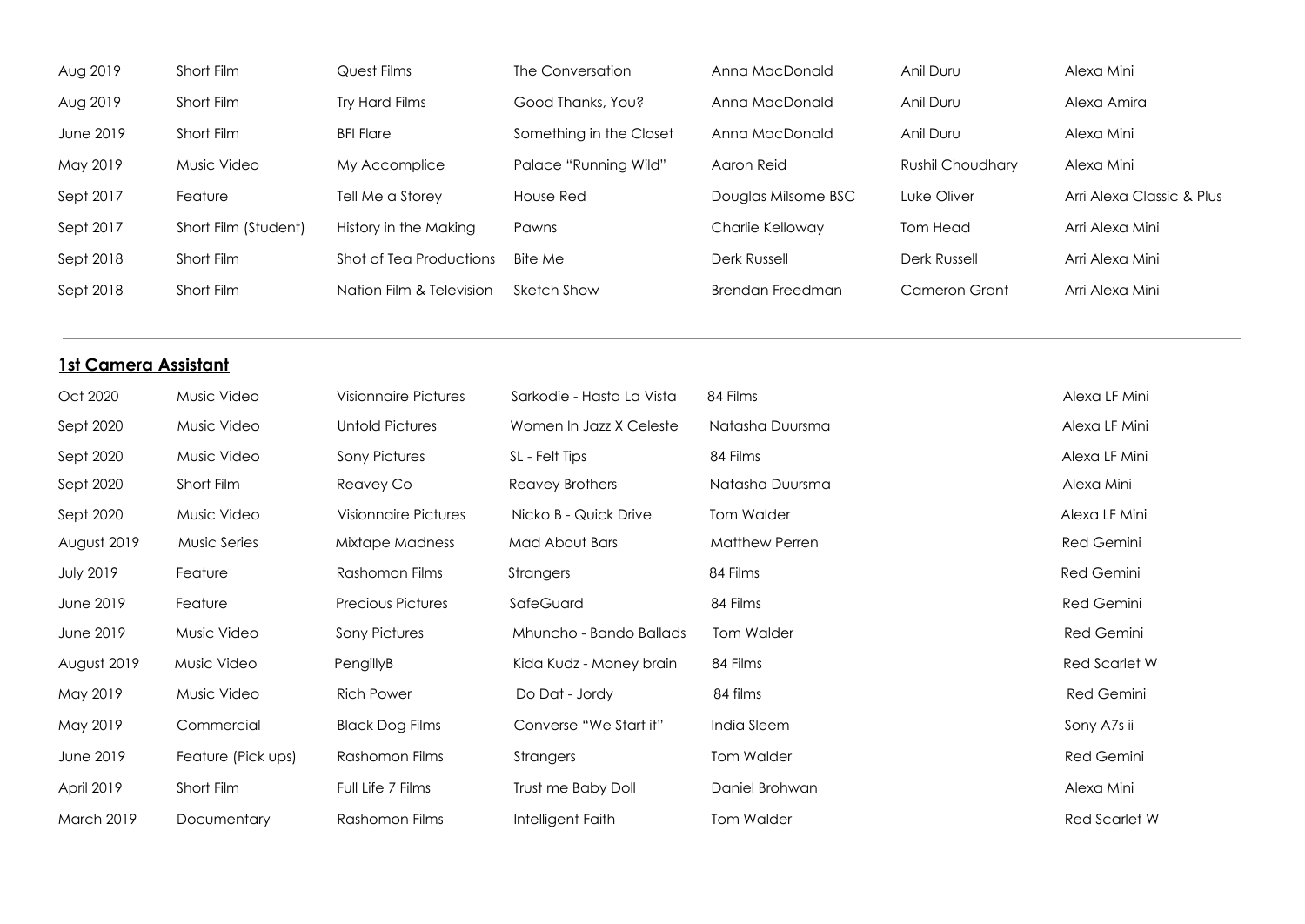| Aug 2019                    | Short Film           | Quest Films                 | The Conversation          | Anna MacDonald          | Anil Duru            | Alexa Mini                |  |  |
|-----------------------------|----------------------|-----------------------------|---------------------------|-------------------------|----------------------|---------------------------|--|--|
| Aug 2019                    | Short Film           | Try Hard Films              | Good Thanks, You?         | Anna MacDonald          | Anil Duru            | Alexa Amira               |  |  |
| June 2019                   | Short Film           | <b>BFI Flare</b>            | Something in the Closet   | Anna MacDonald          | Anil Duru            | Alexa Mini                |  |  |
| May 2019                    | Music Video          | My Accomplice               | Palace "Running Wild"     | Aaron Reid              | Rushil Choudhary     | Alexa Mini                |  |  |
| Sept 2017                   | Feature              | Tell Me a Storey            | House Red                 | Douglas Milsome BSC     | Luke Oliver          | Arri Alexa Classic & Plus |  |  |
| Sept 2017                   | Short Film (Student) | History in the Making       | Pawns                     | Charlie Kelloway        | <b>Tom Head</b>      | Arri Alexa Mini           |  |  |
| Sept 2018                   | Short Film           | Shot of Tea Productions     | <b>Bite Me</b>            | <b>Derk Russell</b>     | Derk Russell         | Arri Alexa Mini           |  |  |
| Sept 2018                   | Short Film           | Nation Film & Television    | <b>Sketch Show</b>        | <b>Brendan Freedman</b> | <b>Cameron Grant</b> | Arri Alexa Mini           |  |  |
|                             |                      |                             |                           |                         |                      |                           |  |  |
| <b>1st Camera Assistant</b> |                      |                             |                           |                         |                      |                           |  |  |
| Oct 2020                    | Music Video          | <b>Visionnaire Pictures</b> | Sarkodie - Hasta La Vista | 84 Films                |                      | Alexa LF Mini             |  |  |
| Sept 2020                   | Music Video          | <b>Untold Pictures</b>      | Women In Jazz X Celeste   | Natasha Duursma         |                      | Alexa LF Mini             |  |  |
| Sept 2020                   | Music Video          | Sony Pictures               | SL - Felt Tips            | 84 Films                |                      | Alexa LF Mini             |  |  |
| Sept 2020                   | Short Film           | Reavey Co                   | <b>Reavey Brothers</b>    | Natasha Duursma         |                      | Alexa Mini                |  |  |
| Sept 2020                   | Music Video          | <b>Visionnaire Pictures</b> | Nicko B - Quick Drive     | <b>Tom Walder</b>       |                      | Alexa LF Mini             |  |  |
| August 2019                 | <b>Music Series</b>  | Mixtape Madness             | Mad About Bars            | Matthew Perren          |                      | Red Gemini                |  |  |
| <b>July 2019</b>            | Feature              | Rashomon Films              | Strangers                 | 84 Films                |                      | <b>Red Gemini</b>         |  |  |
| June 2019                   | Feature              | <b>Precious Pictures</b>    | SafeGuard                 | 84 Films                |                      | Red Gemini                |  |  |
| June 2019                   | Music Video          | <b>Sony Pictures</b>        | Mhuncho - Bando Ballads   | <b>Tom Walder</b>       |                      | Red Gemini                |  |  |
| August 2019                 | Music Video          | PengillyB                   | Kida Kudz - Money brain   | 84 Films                |                      | <b>Red Scarlet W</b>      |  |  |
| May 2019                    | Music Video          | <b>Rich Power</b>           | Do Dat - Jordy            | 84 films                |                      | Red Gemini                |  |  |

May 2019 Commercial Black Dog Films Converse "We Start it" India Sleem Sony A7s ii

April 2019 Short Film Full Life 7 Films Trust me Baby Doll Daniel Brohwan Nature 2019 Short Film Alexa Mini

March 2019 Documentary Rashomon Films Intelligent Faith Tom Walder Tom Commence of the Red Scarlet W

June 2019 Feature (Pick ups) Rashomon Films Strangers Strangers Tom Walder Strangers Red Gemini